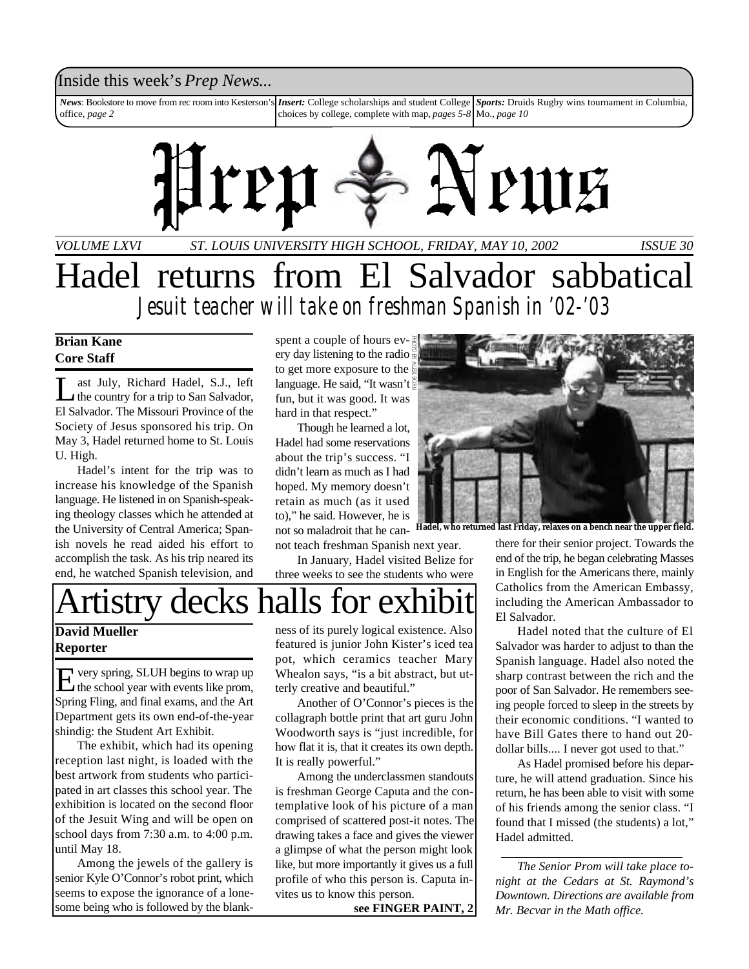## Inside this week's *Prep News*...

*News*: Bookstore to move from rec room into Kesterson's office, *page 2* **Insert:** College scholarships and student College choices by college, complete with map, *pages 5-8* Mo., *page 10 Sports:* Druids Rugby wins tournament in Columbia,



*VOLUME LXVI ISSUE 30 ST. LOUIS UNIVERSITY HIGH SCHOOL, FRIDAY, MAY 10, 2002* Hadel returns from El Salvador sabbatical

*Jesuit teacher will take on freshman Spanish in '02-'03*

## **Brian Kane Core Staff**

 $\prod_{\blacksquare\subset\blacksquare}$ ast July, Richard Hadel, S.J., left the country for a trip to San Salvador, El Salvador. The Missouri Province of the Society of Jesus sponsored his trip. On May 3, Hadel returned home to St. Louis U. High.

Hadel's intent for the trip was to increase his knowledge of the Spanish language. He listened in on Spanish-speaking theology classes which he attended at the University of Central America; Spanish novels he read aided his effort to accomplish the task. As his trip neared its end, he watched Spanish television, and spent a couple of hours every day listening to the radio to get more exposure to the language. He said, "It wasn't fun, but it was good. It was hard in that respect."

Though he learned a lot, Hadel had some reservations about the trip's success. "I didn't learn as much as I had hoped. My memory doesn't retain as much (as it used to)," he said. However, he is not so maladroit that he cannot teach freshman Spanish next year.

In January, Hadel visited Belize for three weeks to see the students who were



**David Mueller Reporter**

E very spring, SLUH begins to wrap up<br>the school year with events like prom, very spring, SLUH begins to wrap up Spring Fling, and final exams, and the Art Department gets its own end-of-the-year shindig: the Student Art Exhibit.

The exhibit, which had its opening reception last night, is loaded with the best artwork from students who participated in art classes this school year. The exhibition is located on the second floor of the Jesuit Wing and will be open on school days from 7:30 a.m. to 4:00 p.m. until May 18.

Among the jewels of the gallery is senior Kyle O'Connor's robot print, which seems to expose the ignorance of a lonesome being who is followed by the blankness of its purely logical existence. Also featured is junior John Kister's iced tea pot, which ceramics teacher Mary Whealon says, "is a bit abstract, but utterly creative and beautiful."

Another of O'Connor's pieces is the collagraph bottle print that art guru John Woodworth says is "just incredible, for how flat it is, that it creates its own depth. It is really powerful."

Among the underclassmen standouts is freshman George Caputa and the contemplative look of his picture of a man comprised of scattered post-it notes. The drawing takes a face and gives the viewer a glimpse of what the person might look like, but more importantly it gives us a full profile of who this person is. Caputa invites us to know this person.

**see FINGER PAINT, 2**



Hadel, who returned last Friday, relaxes on a bench near the upper

there for their senior project. Towards the end of the trip, he began celebrating Masses in English for the Americans there, mainly Catholics from the American Embassy, including the American Ambassador to El Salvador.

Hadel noted that the culture of El Salvador was harder to adjust to than the Spanish language. Hadel also noted the sharp contrast between the rich and the poor of San Salvador. He remembers seeing people forced to sleep in the streets by their economic conditions. "I wanted to have Bill Gates there to hand out 20 dollar bills.... I never got used to that."

As Hadel promised before his departure, he will attend graduation. Since his return, he has been able to visit with some of his friends among the senior class. "I found that I missed (the students) a lot," Hadel admitted.

*The Senior Prom will take place tonight at the Cedars at St. Raymond's Downtown. Directions are available from Mr. Becvar in the Math office.*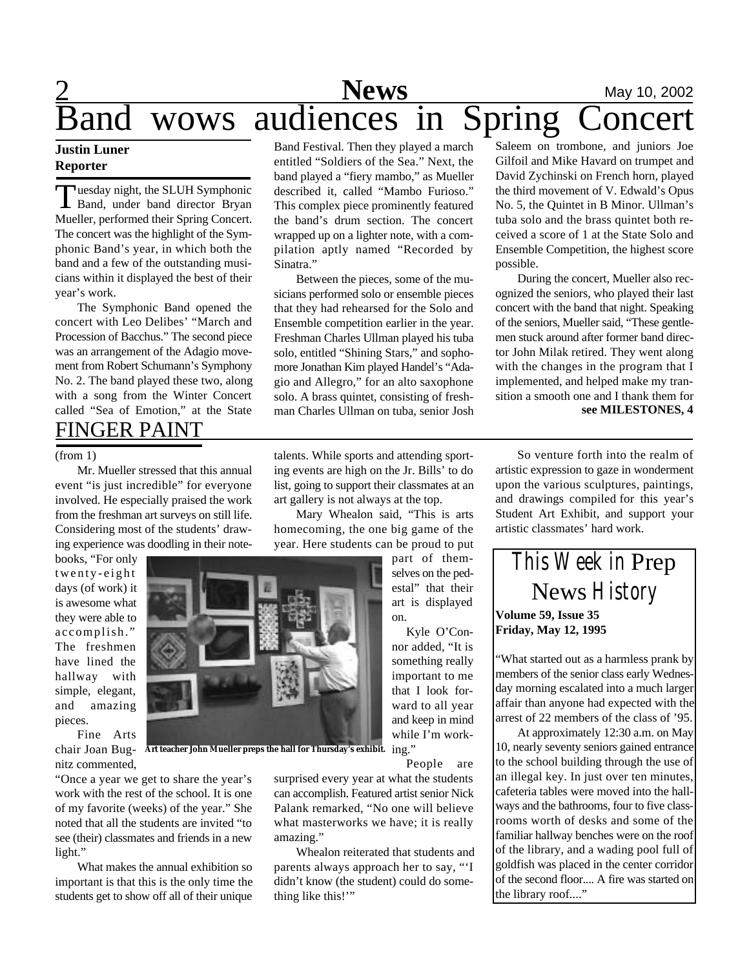## **News** May 10, 2002 **Band wows audiences in Spring Concert**

## **Justin Luner Reporter**

Tuesday night, the SLUH Symphonic<br>Band, under band director Bryan uesday night, the SLUH Symphonic Mueller, performed their Spring Concert. The concert was the highlight of the Symphonic Band's year, in which both the band and a few of the outstanding musicians within it displayed the best of their year's work.

FINGER PAINT The Symphonic Band opened the concert with Leo Delibes' "March and Procession of Bacchus." The second piece was an arrangement of the Adagio movement from Robert Schumann's Symphony No. 2. The band played these two, along with a song from the Winter Concert called "Sea of Emotion," at the State

Mr. Mueller stressed that this annual event "is just incredible" for everyone involved. He especially praised the work from the freshman art surveys on still life. Considering most of the students' drawing experience was doodling in their note-

books, "For only twenty-eight days (of work) it is awesome what they were able to accomplish." The freshmen have lined the hallway with simple, elegant, and amazing pieces.

Fine Arts chair Joan Bugnitz commented,

"Once a year we get to share the year's work with the rest of the school. It is one of my favorite (weeks) of the year." She noted that all the students are invited "to see (their) classmates and friends in a new light."

What makes the annual exhibition so important is that this is the only time the students get to show off all of their unique

Band Festival. Then they played a march entitled "Soldiers of the Sea." Next, the band played a "fiery mambo," as Mueller described it, called "Mambo Furioso." This complex piece prominently featured the band's drum section. The concert wrapped up on a lighter note, with a compilation aptly named "Recorded by Sinatra."

Between the pieces, some of the musicians performed solo or ensemble pieces that they had rehearsed for the Solo and Ensemble competition earlier in the year. Freshman Charles Ullman played his tuba solo, entitled "Shining Stars," and sophomore Jonathan Kim played Handel's "Adagio and Allegro," for an alto saxophone solo. A brass quintet, consisting of freshman Charles Ullman on tuba, senior Josh

(from 1) talents. While sports and attending sport-<br>So venture forth into the realm of ing events are high on the Jr. Bills' to do list, going to support their classmates at an art gallery is not always at the top.

> Mary Whealon said, "This is arts homecoming, the one big game of the year. Here students can be proud to put

> > part of themselves on the pedestal" that their art is displayed on.

Kyle O'Connor added, "It is something really important to me that I look forward to all year and keep in mind while I'm working." **Art teacher John Mueller preps the hall for Thursday's exhibit.**

People are

surprised every year at what the students can accomplish. Featured artist senior Nick Palank remarked, "No one will believe what masterworks we have; it is really amazing."

Whealon reiterated that students and parents always approach her to say, "'I didn't know (the student) could do something like this!'"

Saleem on trombone, and juniors Joe Gilfoil and Mike Havard on trumpet and David Zychinski on French horn, played the third movement of V. Edwald's Opus No. 5, the Quintet in B Minor. Ullman's tuba solo and the brass quintet both received a score of 1 at the State Solo and Ensemble Competition, the highest score possible.

During the concert, Mueller also recognized the seniors, who played their last concert with the band that night. Speaking of the seniors, Mueller said, "These gentlemen stuck around after former band director John Milak retired. They went along with the changes in the program that I implemented, and helped make my transition a smooth one and I thank them for **see MILESTONES, 4**

artistic expression to gaze in wonderment upon the various sculptures, paintings, and drawings compiled for this year's Student Art Exhibit, and support your artistic classmates' hard work.



"What started out as a harmless prank by members of the senior class early Wednesday morning escalated into a much larger affair than anyone had expected with the arrest of 22 members of the class of '95.

At approximately 12:30 a.m. on May 10, nearly seventy seniors gained entrance to the school building through the use of an illegal key. In just over ten minutes, cafeteria tables were moved into the hallways and the bathrooms, four to five classrooms worth of desks and some of the familiar hallway benches were on the roof of the library, and a wading pool full of goldfish was placed in the center corridor of the second floor.... A fire was started on the library roof...."

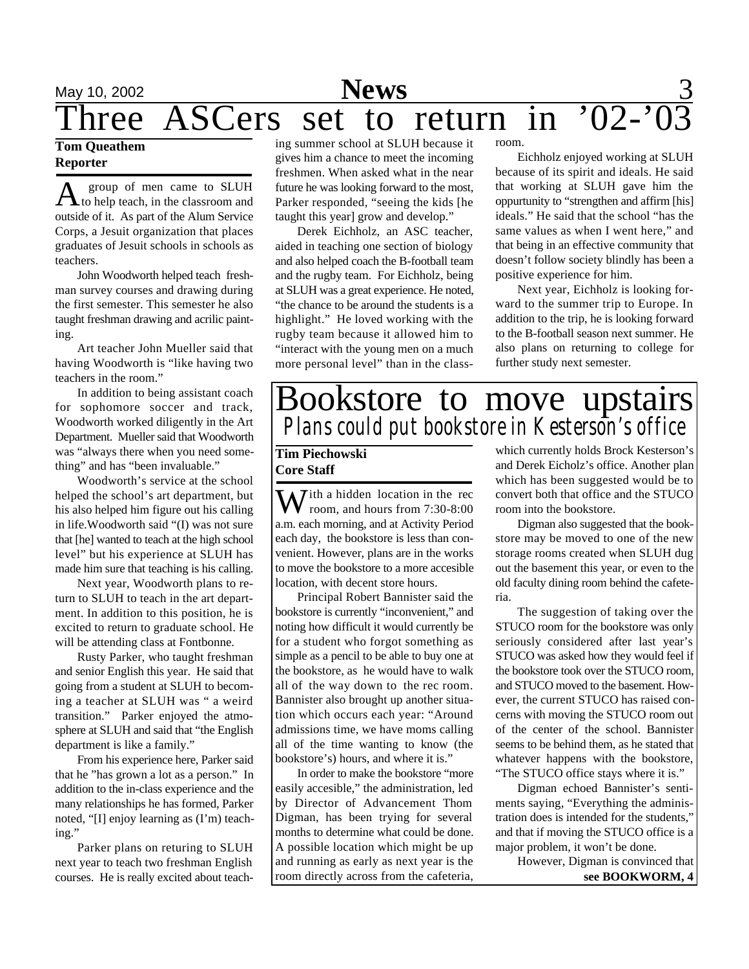# May 10, 2002 **News** 3 hree ASCers set to return in '02-

## **Tom Queathem Reporter**

A group of men came to SLUH to help teach, in the classroom and outside of it. As part of the Alum Service Corps, a Jesuit organization that places graduates of Jesuit schools in schools as teachers.

John Woodworth helped teach freshman survey courses and drawing during the first semester. This semester he also taught freshman drawing and acrilic painting.

Art teacher John Mueller said that having Woodworth is "like having two teachers in the room."

In addition to being assistant coach for sophomore soccer and track, Woodworth worked diligently in the Art Department. Mueller said that Woodworth was "always there when you need something" and has "been invaluable."

Woodworth's service at the school helped the school's art department, but his also helped him figure out his calling in life.Woodworth said "(I) was not sure that [he] wanted to teach at the high school level" but his experience at SLUH has made him sure that teaching is his calling.

Next year, Woodworth plans to return to SLUH to teach in the art department. In addition to this position, he is excited to return to graduate school. He will be attending class at Fontbonne.

Rusty Parker, who taught freshman and senior English this year. He said that going from a student at SLUH to becoming a teacher at SLUH was " a weird transition." Parker enjoyed the atmosphere at SLUH and said that "the English department is like a family."

From his experience here, Parker said that he "has grown a lot as a person." In addition to the in-class experience and the many relationships he has formed, Parker noted, "[I] enjoy learning as (I'm) teaching."

Parker plans on returing to SLUH next year to teach two freshman English courses. He is really excited about teach-

ing summer school at SLUH because it gives him a chance to meet the incoming freshmen. When asked what in the near future he was looking forward to the most, Parker responded, "seeing the kids [he taught this year] grow and develop."

Derek Eichholz, an ASC teacher, aided in teaching one section of biology and also helped coach the B-football team and the rugby team. For Eichholz, being at SLUH was a great experience. He noted, "the chance to be around the students is a highlight." He loved working with the rugby team because it allowed him to "interact with the young men on a much more personal level" than in the classroom.

Eichholz enjoyed working at SLUH because of its spirit and ideals. He said that working at SLUH gave him the oppurtunity to "strengthen and affirm [his] ideals." He said that the school "has the same values as when I went here," and that being in an effective community that doesn't follow society blindly has been a positive experience for him.

Next year, Eichholz is looking forward to the summer trip to Europe. In addition to the trip, he is looking forward to the B-football season next summer. He also plans on returning to college for further study next semester.

## Bookstore to move upstairs *Plans could put bookstore in Kesterson's office*

## **Tim Piechowski Core Staff**

 $\mathbf{W}$  ith a hidden location in the rec room, and hours from 7:30-8:00 a.m. each morning, and at Activity Period each day, the bookstore is less than convenient. However, plans are in the works to move the bookstore to a more accesible location, with decent store hours.

Principal Robert Bannister said the bookstore is currently "inconvenient," and noting how difficult it would currently be for a student who forgot something as simple as a pencil to be able to buy one at the bookstore, as he would have to walk all of the way down to the rec room. Bannister also brought up another situation which occurs each year: "Around admissions time, we have moms calling all of the time wanting to know (the bookstore's) hours, and where it is."

In order to make the bookstore "more easily accesible," the administration, led by Director of Advancement Thom Digman, has been trying for several months to determine what could be done. A possible location which might be up and running as early as next year is the room directly across from the cafeteria, which currently holds Brock Kesterson's and Derek Eicholz's office. Another plan which has been suggested would be to convert both that office and the STUCO room into the bookstore.

Digman also suggested that the bookstore may be moved to one of the new storage rooms created when SLUH dug out the basement this year, or even to the old faculty dining room behind the cafeteria.

The suggestion of taking over the STUCO room for the bookstore was only seriously considered after last year's STUCO was asked how they would feel if the bookstore took over the STUCO room, and STUCO moved to the basement. However, the current STUCO has raised concerns with moving the STUCO room out of the center of the school. Bannister seems to be behind them, as he stated that whatever happens with the bookstore, "The STUCO office stays where it is."

Digman echoed Bannister's sentiments saying, "Everything the administration does is intended for the students," and that if moving the STUCO office is a major problem, it won't be done.

However, Digman is convinced that **see BOOKWORM, 4**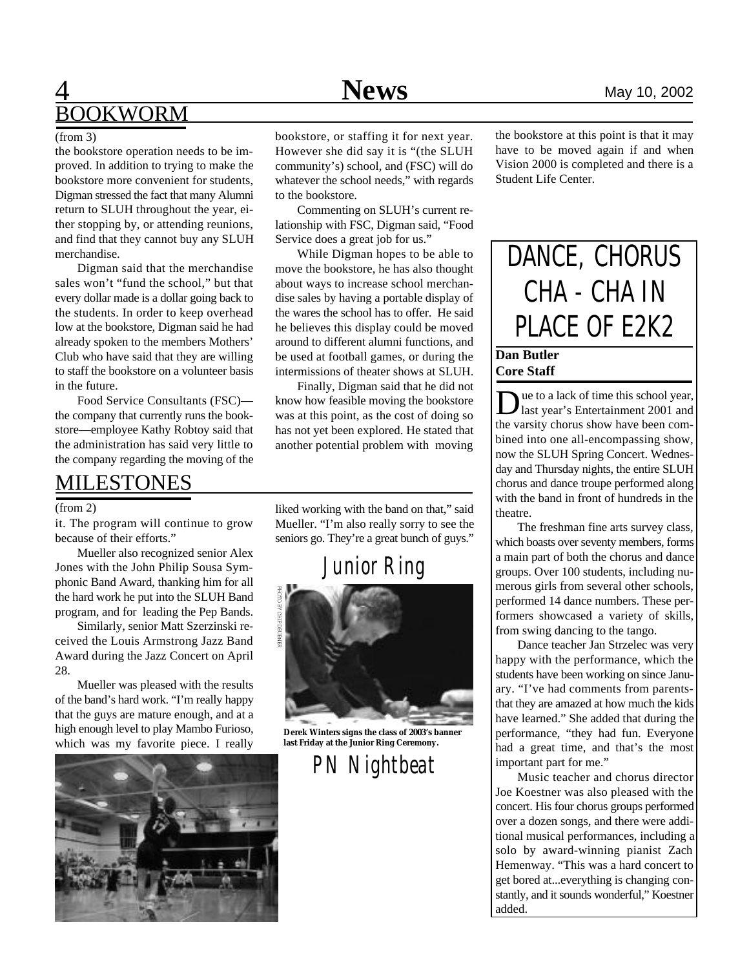## **4** Mews May 10, 2002 BOOKWORM

the bookstore operation needs to be improved. In addition to trying to make the bookstore more convenient for students, Digman stressed the fact that many Alumni return to SLUH throughout the year, either stopping by, or attending reunions, and find that they cannot buy any SLUH merchandise.

Digman said that the merchandise sales won't "fund the school," but that every dollar made is a dollar going back to the students. In order to keep overhead low at the bookstore, Digman said he had already spoken to the members Mothers' Club who have said that they are willing to staff the bookstore on a volunteer basis in the future.

Food Service Consultants (FSC) the company that currently runs the bookstore—employee Kathy Robtoy said that the administration has said very little to the company regarding the moving of the

## MILESTONES

### (from 2)

it. The program will continue to grow because of their efforts."

Mueller also recognized senior Alex Jones with the John Philip Sousa Symphonic Band Award, thanking him for all the hard work he put into the SLUH Band program, and for leading the Pep Bands.

Similarly, senior Matt Szerzinski received the Louis Armstrong Jazz Band Award during the Jazz Concert on April 28.

Mueller was pleased with the results of the band's hard work. "I'm really happy that the guys are mature enough, and at a high enough level to play Mambo Furioso, which was my favorite piece. I really



(from 3) bookstore, or staffing it for next year. However she did say it is "(the SLUH community's) school, and (FSC) will do whatever the school needs," with regards to the bookstore.

> Commenting on SLUH's current relationship with FSC, Digman said, "Food Service does a great job for us."

> While Digman hopes to be able to move the bookstore, he has also thought about ways to increase school merchandise sales by having a portable display of the wares the school has to offer. He said he believes this display could be moved around to different alumni functions, and be used at football games, or during the intermissions of theater shows at SLUH.

> Finally, Digman said that he did not know how feasible moving the bookstore was at this point, as the cost of doing so has not yet been explored. He stated that another potential problem with moving

> liked working with the band on that," said Mueller. "I'm also really sorry to see the seniors go. They're a great bunch of guys."



**Derek Winters signs the class of 2003's banner last Friday at the Junior Ring Ceremony.**

*PN Nightbeat*

the bookstore at this point is that it may have to be moved again if and when Vision 2000 is completed and there is a Student Life Center.

## DANCE, CHORUS CHA - CHA IN PLACE OF E2K2

## **Dan Butler Core Staff**

Due to a lack of time this school year,<br>last year's Entertainment 2001 and<br>the varsity chorus show have been comue to a lack of time this school year, last year's Entertainment 2001 and bined into one all-encompassing show, now the SLUH Spring Concert. Wednesday and Thursday nights, the entire SLUH chorus and dance troupe performed along with the band in front of hundreds in the theatre.

The freshman fine arts survey class, which boasts over seventy members, forms a main part of both the chorus and dance groups. Over 100 students, including numerous girls from several other schools, performed 14 dance numbers. These performers showcased a variety of skills, from swing dancing to the tango.

Dance teacher Jan Strzelec was very happy with the performance, which the students have been working on since January. "I've had comments from parentsthat they are amazed at how much the kids have learned." She added that during the performance, "they had fun. Everyone had a great time, and that's the most important part for me."

Music teacher and chorus director Joe Koestner was also pleased with the concert. His four chorus groups performed over a dozen songs, and there were additional musical performances, including a solo by award-winning pianist Zach Hemenway. "This was a hard concert to get bored at...everything is changing constantly, and it sounds wonderful," Koestner added.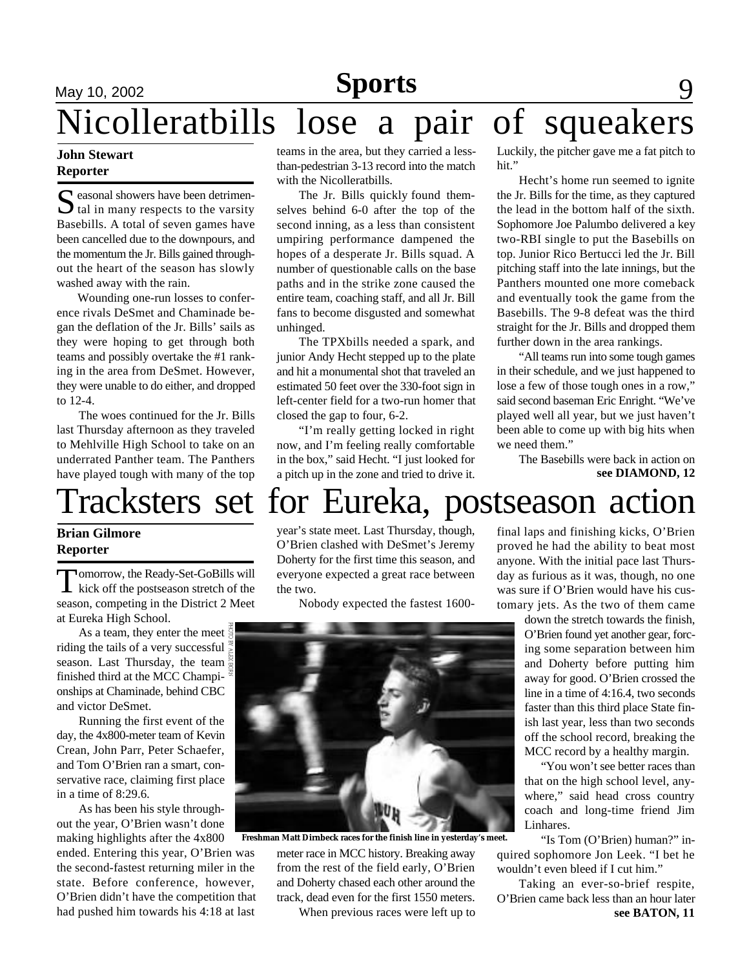# **May** 10, 2002 **Feature 10. 2002 Feature 10. 2002 Parts** 9 Nicolleratbills lose a pair of squeakers

## **John Stewart Reporter**

S easonal showers have been detrimen-<br>tal in many respects to the varsity  $\bigcup$  tal in many respects to the varsity Basebills. A total of seven games have been cancelled due to the downpours, and the momentum the Jr. Bills gained throughout the heart of the season has slowly washed away with the rain.

Wounding one-run losses to conference rivals DeSmet and Chaminade began the deflation of the Jr. Bills' sails as they were hoping to get through both teams and possibly overtake the #1 ranking in the area from DeSmet. However, they were unable to do either, and dropped to 12-4.

The woes continued for the Jr. Bills last Thursday afternoon as they traveled to Mehlville High School to take on an underrated Panther team. The Panthers have played tough with many of the top

teams in the area, but they carried a lessthan-pedestrian 3-13 record into the match with the Nicolleratbills.

The Jr. Bills quickly found themselves behind 6-0 after the top of the second inning, as a less than consistent umpiring performance dampened the hopes of a desperate Jr. Bills squad. A number of questionable calls on the base paths and in the strike zone caused the entire team, coaching staff, and all Jr. Bill fans to become disgusted and somewhat unhinged.

The TPXbills needed a spark, and junior Andy Hecht stepped up to the plate and hit a monumental shot that traveled an estimated 50 feet over the 330-foot sign in left-center field for a two-run homer that closed the gap to four, 6-2.

"I'm really getting locked in right now, and I'm feeling really comfortable in the box," said Hecht. "I just looked for a pitch up in the zone and tried to drive it. Luckily, the pitcher gave me a fat pitch to hit."

Hecht's home run seemed to ignite the Jr. Bills for the time, as they captured the lead in the bottom half of the sixth. Sophomore Joe Palumbo delivered a key two-RBI single to put the Basebills on top. Junior Rico Bertucci led the Jr. Bill pitching staff into the late innings, but the Panthers mounted one more comeback and eventually took the game from the Basebills. The 9-8 defeat was the third straight for the Jr. Bills and dropped them further down in the area rankings.

"All teams run into some tough games in their schedule, and we just happened to lose a few of those tough ones in a row," said second baseman Eric Enright. "We've played well all year, but we just haven't been able to come up with big hits when we need them."

> The Basebills were back in action on **see DIAMOND, 12**

# Tracksters set for Eureka, postseason action

## **Brian Gilmore Reporter**

Tomorrow, the Ready-Set-GoBills will<br>kick off the postseason stretch of the omorrow, the Ready-Set-GoBills will season, competing in the District 2 Meet at Eureka High School.

As a team, they enter the meet riding the tails of a very successful season. Last Thursday, the team  $\frac{1}{2}$ finished third at the MCC Championships at Chaminade, behind CBC and victor DeSmet.

Running the first event of the day, the 4x800-meter team of Kevin Crean, John Parr, Peter Schaefer, and Tom O'Brien ran a smart, conservative race, claiming first place in a time of 8:29.6.

As has been his style throughout the year, O'Brien wasn't done making highlights after the 4x800 ended. Entering this year, O'Brien was the second-fastest returning miler in the state. Before conference, however, O'Brien didn't have the competition that had pushed him towards his 4:18 at last

year's state meet. Last Thursday, though, O'Brien clashed with DeSmet's Jeremy Doherty for the first time this season, and everyone expected a great race between the two.

Nobody expected the fastest 1600-



**Freshman Matt Dirnbeck races for the finish line in yesterday's meet.**

meter race in MCC history. Breaking away from the rest of the field early, O'Brien and Doherty chased each other around the track, dead even for the first 1550 meters.

When previous races were left up to

final laps and finishing kicks, O'Brien proved he had the ability to beat most anyone. With the initial pace last Thursday as furious as it was, though, no one was sure if O'Brien would have his customary jets. As the two of them came

> down the stretch towards the finish, O'Brien found yet another gear, forcing some separation between him and Doherty before putting him away for good. O'Brien crossed the line in a time of 4:16.4, two seconds faster than this third place State finish last year, less than two seconds off the school record, breaking the MCC record by a healthy margin.

> "You won't see better races than that on the high school level, anywhere," said head cross country coach and long-time friend Jim Linhares.

"Is Tom (O'Brien) human?" inquired sophomore Jon Leek. "I bet he wouldn't even bleed if I cut him."

Taking an ever-so-brief respite, O'Brien came back less than an hour later **see BATON, 11**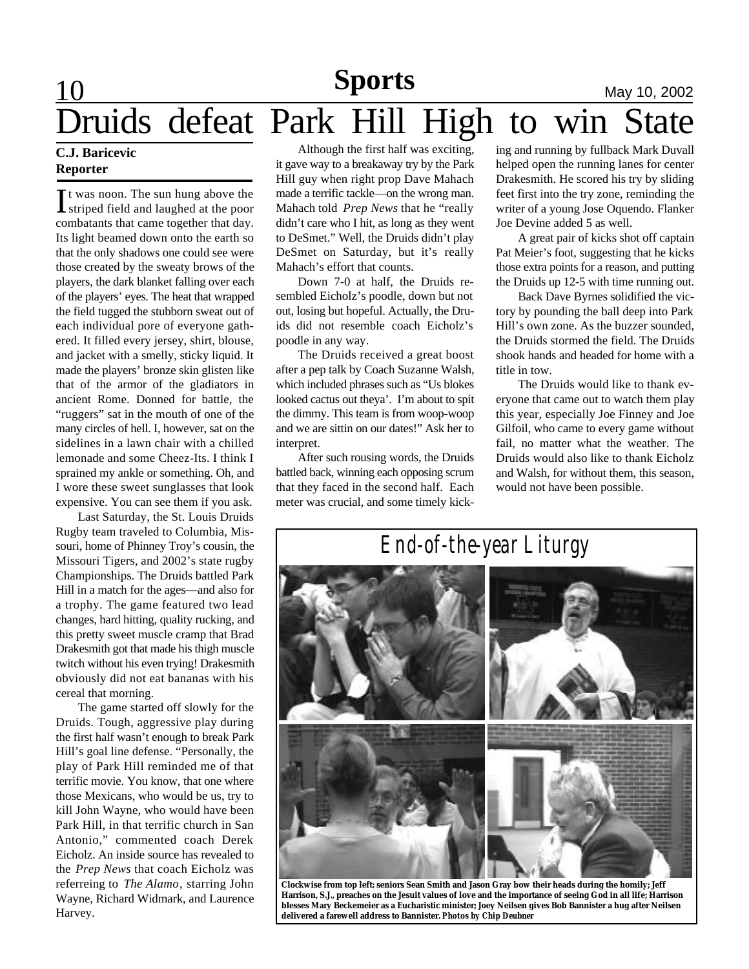# **Feature 10 Features CONDITED Sports May 10, 2002** Druids defeat Park Hill High to win State

## **C.J. Baricevic Reporter**

It was noon. The sun hung above the<br>striped field and laughed at the poor t was noon. The sun hung above the combatants that came together that day. Its light beamed down onto the earth so that the only shadows one could see were those created by the sweaty brows of the players, the dark blanket falling over each of the players' eyes. The heat that wrapped the field tugged the stubborn sweat out of each individual pore of everyone gathered. It filled every jersey, shirt, blouse, and jacket with a smelly, sticky liquid. It made the players' bronze skin glisten like that of the armor of the gladiators in ancient Rome. Donned for battle, the "ruggers" sat in the mouth of one of the many circles of hell. I, however, sat on the sidelines in a lawn chair with a chilled lemonade and some Cheez-Its. I think I sprained my ankle or something. Oh, and I wore these sweet sunglasses that look expensive. You can see them if you ask.

Last Saturday, the St. Louis Druids Rugby team traveled to Columbia, Missouri, home of Phinney Troy's cousin, the Missouri Tigers, and 2002's state rugby Championships. The Druids battled Park Hill in a match for the ages—and also for a trophy. The game featured two lead changes, hard hitting, quality rucking, and this pretty sweet muscle cramp that Brad Drakesmith got that made his thigh muscle twitch without his even trying! Drakesmith obviously did not eat bananas with his cereal that morning.

The game started off slowly for the Druids. Tough, aggressive play during the first half wasn't enough to break Park Hill's goal line defense. "Personally, the play of Park Hill reminded me of that terrific movie. You know, that one where those Mexicans, who would be us, try to kill John Wayne, who would have been Park Hill, in that terrific church in San Antonio," commented coach Derek Eicholz. An inside source has revealed to the *Prep News* that coach Eicholz was referreing to *The Alamo*, starring John Wayne, Richard Widmark, and Laurence Harvey.

Although the first half was exciting, it gave way to a breakaway try by the Park Hill guy when right prop Dave Mahach made a terrific tackle—on the wrong man. Mahach told *Prep News* that he "really didn't care who I hit, as long as they went to DeSmet." Well, the Druids didn't play DeSmet on Saturday, but it's really Mahach's effort that counts.

Down 7-0 at half, the Druids resembled Eicholz's poodle, down but not out, losing but hopeful. Actually, the Druids did not resemble coach Eicholz's poodle in any way.

The Druids received a great boost after a pep talk by Coach Suzanne Walsh, which included phrases such as "Us blokes looked cactus out theya'. I'm about to spit the dimmy. This team is from woop-woop and we are sittin on our dates!" Ask her to interpret.

After such rousing words, the Druids battled back, winning each opposing scrum that they faced in the second half. Each meter was crucial, and some timely kicking and running by fullback Mark Duvall helped open the running lanes for center Drakesmith. He scored his try by sliding feet first into the try zone, reminding the writer of a young Jose Oquendo. Flanker Joe Devine added 5 as well.

A great pair of kicks shot off captain Pat Meier's foot, suggesting that he kicks those extra points for a reason, and putting the Druids up 12-5 with time running out.

Back Dave Byrnes solidified the victory by pounding the ball deep into Park Hill's own zone. As the buzzer sounded, the Druids stormed the field. The Druids shook hands and headed for home with a title in tow.

The Druids would like to thank everyone that came out to watch them play this year, especially Joe Finney and Joe Gilfoil, who came to every game without fail, no matter what the weather. The Druids would also like to thank Eicholz and Walsh, for without them, this season, would not have been possible.



**Clockwise from top left: seniors Sean Smith and Jason Gray bow their heads during the homily; Jeff Harrison, S.J., preaches on the Jesuit values of love and the importance of seeing God in all life; Harrison blesses Mary Beckemeier as a Eucharistic minister; Joey Neilsen gives Bob Bannister a hug after Neilsen delivered a farewell address to Bannister.** *Photos by Chip Deubner*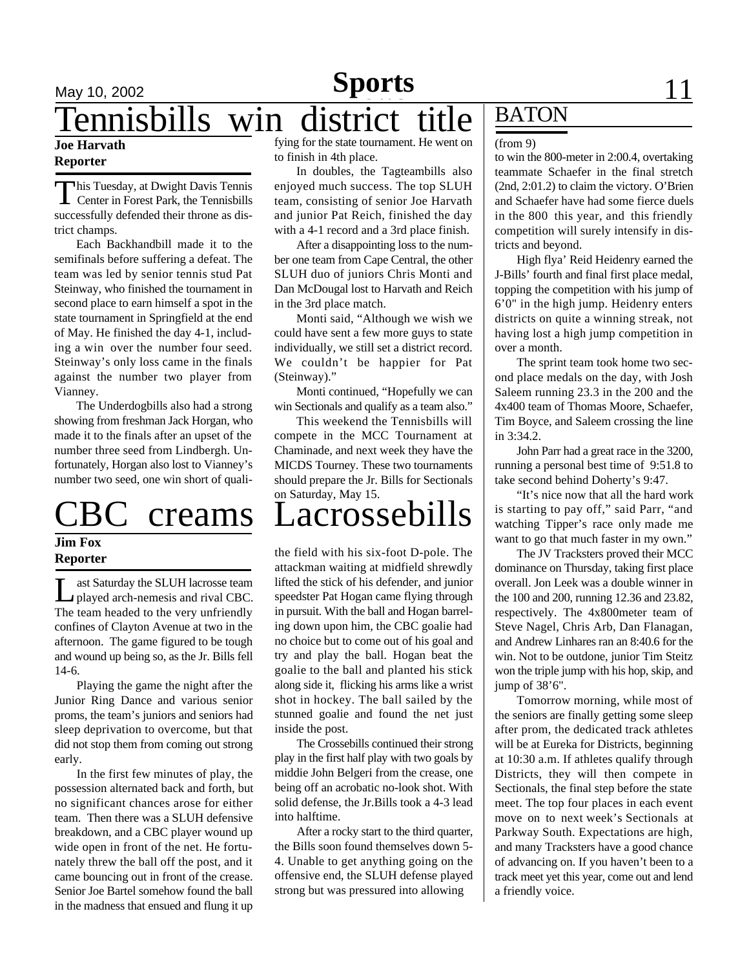## **May 10, 2002 Sports** 11 Tennisbills win district title BATON

## **Joe Harvath Reporter**

This Tuesday, at Dwight Davis Tennis<br>Center in Forest Park, the Tennisbills his Tuesday, at Dwight Davis Tennis successfully defended their throne as district champs.

Each Backhandbill made it to the semifinals before suffering a defeat. The team was led by senior tennis stud Pat Steinway, who finished the tournament in second place to earn himself a spot in the state tournament in Springfield at the end of May. He finished the day 4-1, including a win over the number four seed. Steinway's only loss came in the finals against the number two player from Vianney.

The Underdogbills also had a strong showing from freshman Jack Horgan, who made it to the finals after an upset of the number three seed from Lindbergh. Unfortunately, Horgan also lost to Vianney's number two seed, one win short of quali-

## **Jim Fox Reporter**

ast Saturday the SLUH lacrosse team<br>played arch-nemesis and rival CBC. ast Saturday the SLUH lacrosse team The team headed to the very unfriendly confines of Clayton Avenue at two in the afternoon. The game figured to be tough and wound up being so, as the Jr. Bills fell 14-6.

Playing the game the night after the Junior Ring Dance and various senior proms, the team's juniors and seniors had sleep deprivation to overcome, but that did not stop them from coming out strong early.

In the first few minutes of play, the possession alternated back and forth, but no significant chances arose for either team. Then there was a SLUH defensive breakdown, and a CBC player wound up wide open in front of the net. He fortunately threw the ball off the post, and it came bouncing out in front of the crease. Senior Joe Bartel somehow found the ball in the madness that ensued and flung it up

fying for the state tournament. He went on to finish in 4th place.

In doubles, the Tagteambills also enjoyed much success. The top SLUH team, consisting of senior Joe Harvath and junior Pat Reich, finished the day with a 4-1 record and a 3rd place finish.

After a disappointing loss to the number one team from Cape Central, the other SLUH duo of juniors Chris Monti and Dan McDougal lost to Harvath and Reich in the 3rd place match.

Monti said, "Although we wish we could have sent a few more guys to state individually, we still set a district record. We couldn't be happier for Pat (Steinway)."

Monti continued, "Hopefully we can win Sectionals and qualify as a team also."

This weekend the Tennisbills will compete in the MCC Tournament at Chaminade, and next week they have the MICDS Tourney. These two tournaments should prepare the Jr. Bills for Sectionals on Saturday, May 15.

# creams Lacrossebills

the field with his six-foot D-pole. The attackman waiting at midfield shrewdly lifted the stick of his defender, and junior speedster Pat Hogan came flying through in pursuit. With the ball and Hogan barreling down upon him, the CBC goalie had no choice but to come out of his goal and try and play the ball. Hogan beat the goalie to the ball and planted his stick along side it, flicking his arms like a wrist shot in hockey. The ball sailed by the stunned goalie and found the net just inside the post.

The Crossebills continued their strong play in the first half play with two goals by middie John Belgeri from the crease, one being off an acrobatic no-look shot. With solid defense, the Jr.Bills took a 4-3 lead into halftime.

After a rocky start to the third quarter, the Bills soon found themselves down 5- 4. Unable to get anything going on the offensive end, the SLUH defense played strong but was pressured into allowing

### (from 9)

to win the 800-meter in 2:00.4, overtaking teammate Schaefer in the final stretch (2nd, 2:01.2) to claim the victory. O'Brien and Schaefer have had some fierce duels in the 800 this year, and this friendly competition will surely intensify in districts and beyond.

High flya' Reid Heidenry earned the J-Bills' fourth and final first place medal, topping the competition with his jump of 6'0" in the high jump. Heidenry enters districts on quite a winning streak, not having lost a high jump competition in over a month.

The sprint team took home two second place medals on the day, with Josh Saleem running 23.3 in the 200 and the 4x400 team of Thomas Moore, Schaefer, Tim Boyce, and Saleem crossing the line in 3:34.2.

John Parr had a great race in the 3200, running a personal best time of 9:51.8 to take second behind Doherty's 9:47.

"It's nice now that all the hard work is starting to pay off," said Parr, "and watching Tipper's race only made me want to go that much faster in my own."

The JV Tracksters proved their MCC dominance on Thursday, taking first place overall. Jon Leek was a double winner in the 100 and 200, running 12.36 and 23.82, respectively. The 4x800meter team of Steve Nagel, Chris Arb, Dan Flanagan, and Andrew Linhares ran an 8:40.6 for the win. Not to be outdone, junior Tim Steitz won the triple jump with his hop, skip, and jump of 38'6".

Tomorrow morning, while most of the seniors are finally getting some sleep after prom, the dedicated track athletes will be at Eureka for Districts, beginning at 10:30 a.m. If athletes qualify through Districts, they will then compete in Sectionals, the final step before the state meet. The top four places in each event move on to next week's Sectionals at Parkway South. Expectations are high, and many Tracksters have a good chance of advancing on. If you haven't been to a track meet yet this year, come out and lend a friendly voice.